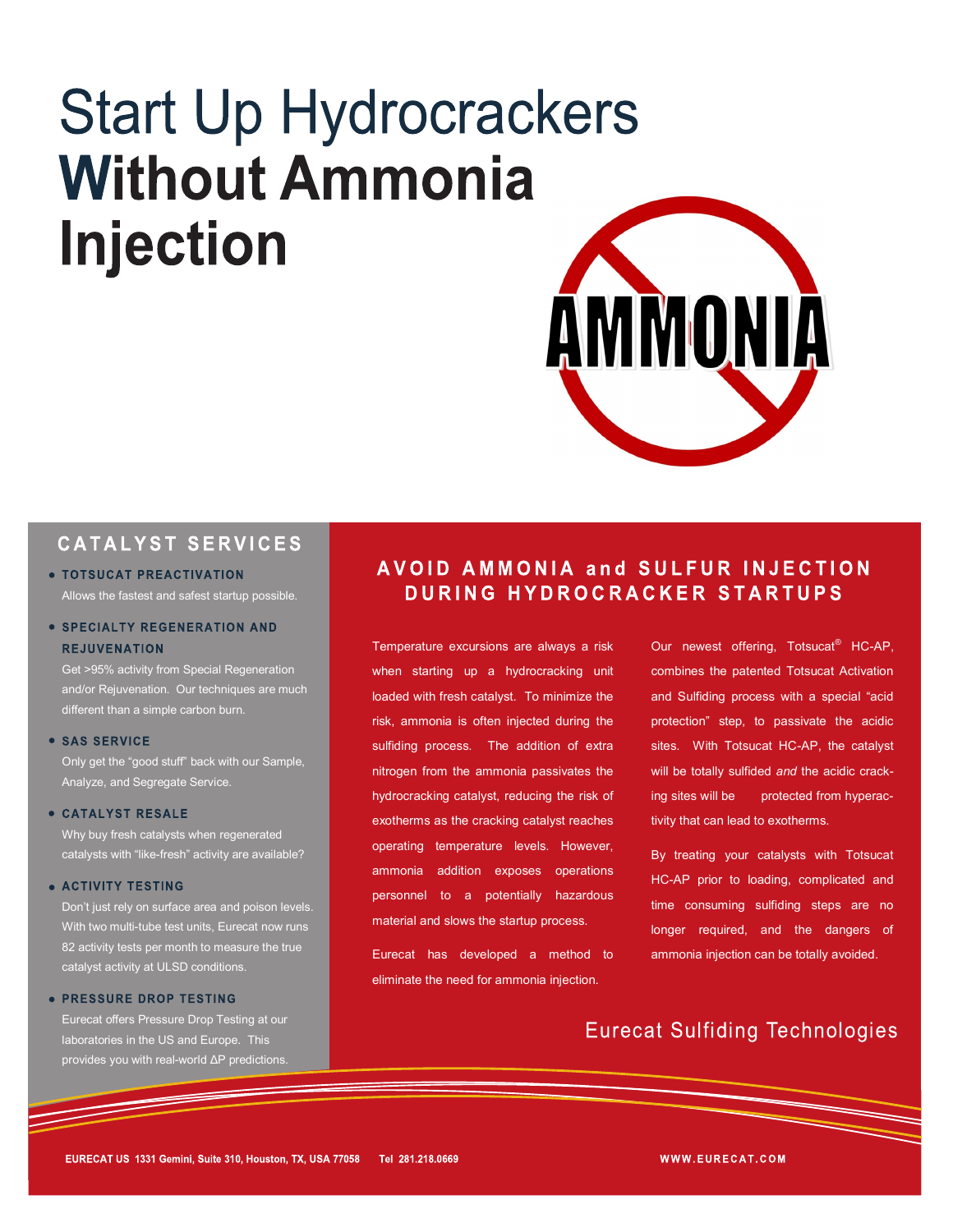## **Start Up Hydrocrackers Without Ammonia Injection**

## **CATALYST SERVICES**

#### · TOTSUCAT PREACTIVATION Allows the fastest and safest startup possible.

#### · SPECIALTY REGENERATION AND **REJUVENATION**

Get >95% activity from Special Regeneration and/or Rejuvenation. Our techniques are much different than a simple carbon burn.

#### · SAS SERVICE

Only get the "good stuff" back with our Sample, Analyze, and Segregate Service.

#### **• CATALYST RESALE**

Why buy fresh catalysts when regenerated catalysts with "like-fresh" activity are available?

#### **• ACTIVITY TESTING**

Don't just rely on surface area and poison levels. With two multi-tube test units, Eurecat now runs 82 activity tests per month to measure the true catalyst activity at ULSD conditions.

#### · PRESSURE DROP TESTING

Eurecat offers Pressure Drop Testing at our laboratories in the US and Europe. This provides you with real-world ΔP predictions.

## **AVOID AMMONIA and SULFUR INJECTION** DURING HYDROCRACKER STARTUPS

AMMONIA

Temperature excursions are always a risk when starting up a hydrocracking unit loaded with fresh catalyst. To minimize the risk, ammonia is often injected during the sulfiding process. The addition of extra nitrogen from the ammonia passivates the hydrocracking catalyst, reducing the risk of exotherms as the cracking catalyst reaches operating temperature levels. However, ammonia addition exposes operations personnel to a potentially hazardous material and slows the startup process.

Eurecat has developed a method to eliminate the need for ammonia injection.

Our newest offering, Totsucat<sup>®</sup> HC-AP, combines the patented Totsucat Activation and Sulfiding process with a special "acid protection" step, to passivate the acidic sites. With Totsucat HC-AP, the catalyst will be totally sulfided *and* the acidic cracking sites will be protected from hyperactivity that can lead to exotherms.

By treating your catalysts with Totsucat HC-AP prior to loading, complicated and time consuming sulfiding steps are no longer required, and the dangers of ammonia injection can be totally avoided.

## **Eurecat Sulfiding Technologies**